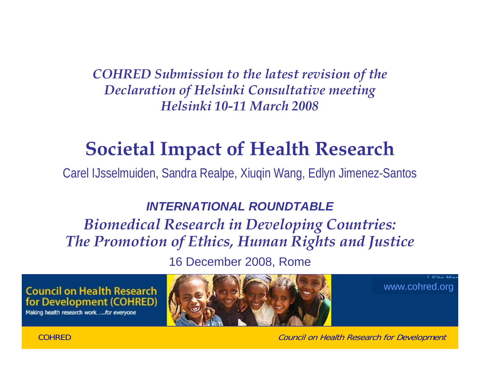*COHRED Submission to the latest revision of the Declaration of Helsinki Consultative meeting Helsinki 10-11 March 2008*

# **Societal Impact of Health Research**

Carel IJsselmuiden, Sandra Realpe, Xiuqin Wang, Edlyn Jimenez-Santos

#### *INTERNATIONAL ROUNDTABLE*

### *Biomedical Research in Developing Countries: The Promotion of Ethics, Human Rights and Justice*

16 December 2008, Rome

**Council on Health Research** for Development (COHRED)

Making health research work.....for everyone

COHRED



www.cohred.org

 $P(x) = kx$ 

Council on Health Research for Development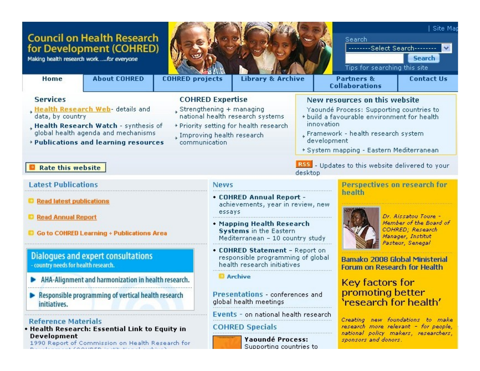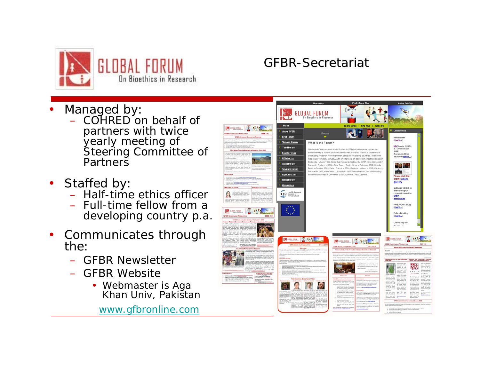

#### GFBR-Secretariat

- •• Managed by
	- COHRED on behalf of partners with twice yearly meeting of Steering Committee of **Partners**
- •• Staffed by
	- Half-time ethics officer
	- Full-time fellow from a developing country p.a.
- $\bullet$  Communicates through the:
	- GFBR Newsletter
	- GFBR Website
		- Webmaster is Aga Khan Univ, Pakistan

www.gfbronline.com

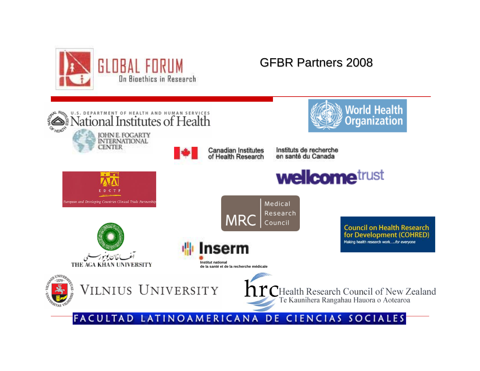

#### GFBR Partners 2008

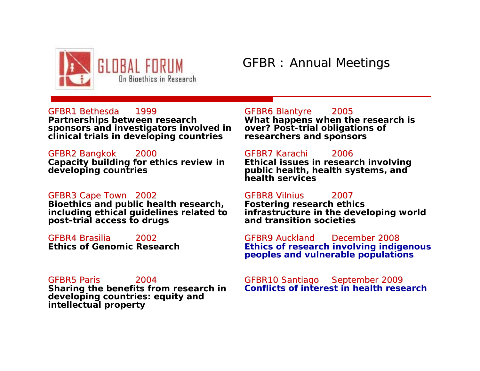

#### GFBR : Annual Meetings

GFBR1 Bethesda 1999**Partnerships between research sponsors and investigators involved in clinical trials in developing countries**

GFBR2 Bangkok 2000 **Capacity building for ethics review in developing countries**

GFBR3 Cape Town 2002 **Bioethics and public health research, including ethical guidelines related to post-trial access to drugs**

GFBR4 Brasilia 2002**Ethics of Genomic Research**

*GFBR10 Santiago September 2009 Conflicts of interest in health research* GFBR5 Paris GFBR5 Paris 2004 **Sharing the benefits from research in developing countries: equity and intellectual property**

GFBR6 Blantyre 2005 **What happens when the research is** 

**over? Post-trial obligations of researchers and sponsors**

GFBR7 Karachi GFBR7 Karachi2006 **Ethical issues in research involving public health, health systems, and health services**

GFBR8 Vilnius 2007**Fostering research ethics infrastructure in the developing world and transition societies**

*GFBR9 Auckland December 2008Ethics of research involving indigenous peoples and vulnerable populations*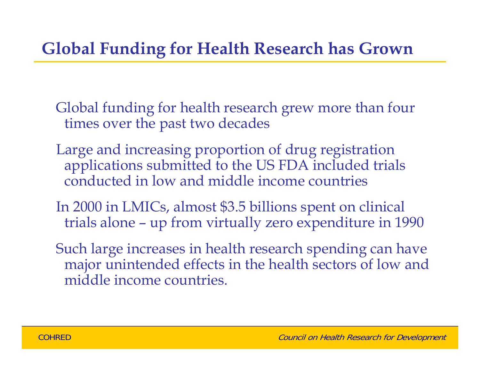## **Global Funding for Health Research has Grown**

Global funding for health research grew more than four times over the past two decades

- Large and increasing proportion of drug registration applications submitted to the US FDA included trials conducted in low and middle income countries
- In 2000 in LMICs, almost \$3.5 billions spent on clinical trials alone – up from virtually zero expenditure in 1990
- Such large increases in health research spending can have major unintended effects in the health sectors of low and middle income countries.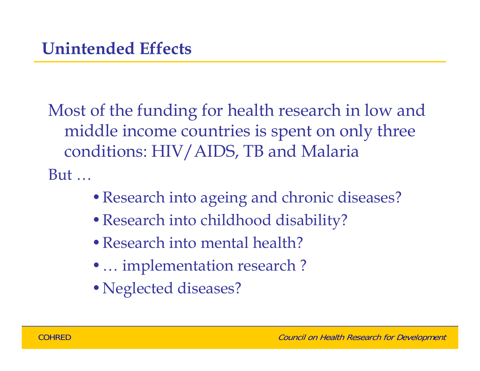Most of the funding for health research in low and middle income countries is spent on only three conditions: HIV/AIDS, TB and Malaria

But …

- Research into ageing and chronic diseases?
- •Research into childhood disability?
- Research into mental health?
- ... implementation research?
- •Neglected diseases?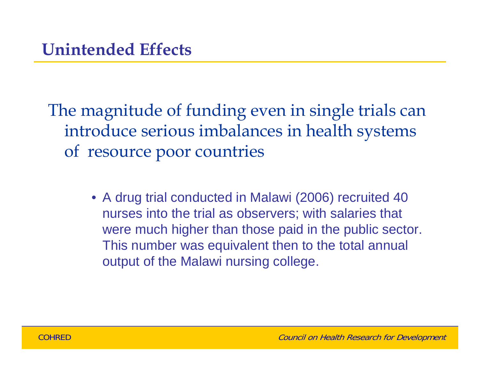The magnitude of funding even in single trials can introduce serious imbalances in health systems of resource poor countries

> • A drug trial conducted in Malawi (2006) recruited 40 nurses into the trial as observers; with salaries that were much higher than those paid in the public sector. This number was equivalent then to the total annual output of the Malawi nursing college.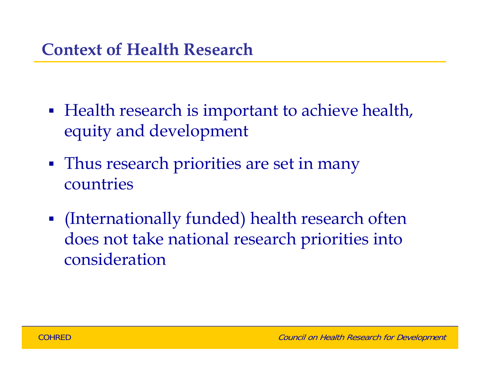- $\mathbb{R}^2$ **• Health research is important to achieve health,** equity and development
- $\mathbb{R}^3$ **Thus research priorities are set in many** countries
- $\mathcal{L}_{\mathcal{A}}$  (Internationally funded) health research often does not take national research priorities into consideration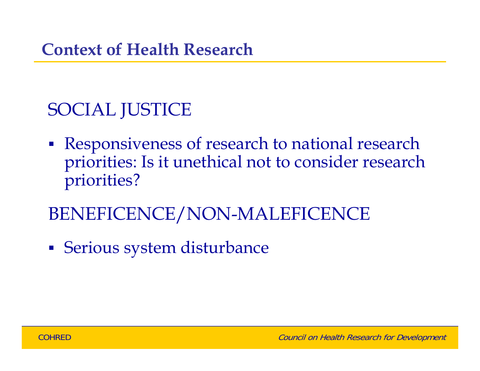## SOCIAL JUSTICE

- $\mathbb{R}^3$  Responsiveness of research to national research priorities: Is it unethical not to consider research priorities?
- BENEFICENCE/NON-MALEFICENCE
- $\mathcal{L}_{\mathcal{A}}$ Serious system disturbance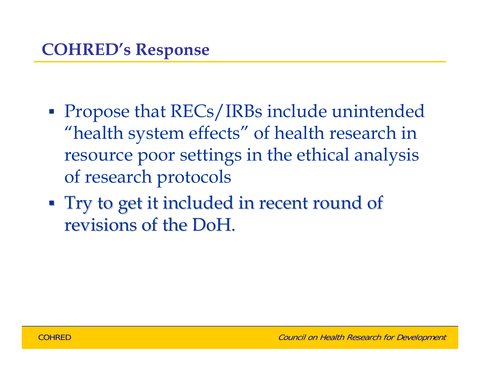- **Service Service Propose that RECs/IRBs include unintended** "health system effects" of health research in resource poor settings in the ethical analysis of research protocols
- **Try to get it included in recent round of** revisions of the DoH.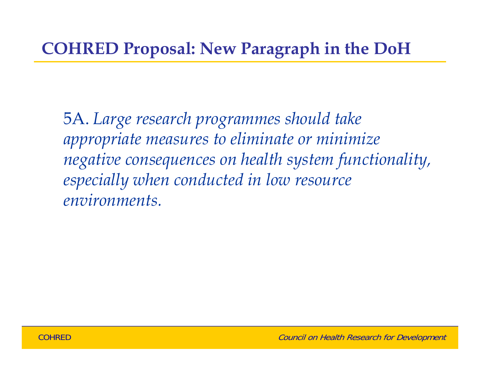5A. *Large research programmes should take appropriate measures to eliminate or minimize negative consequences on health system functionality, especially when conducted in low resource environments.*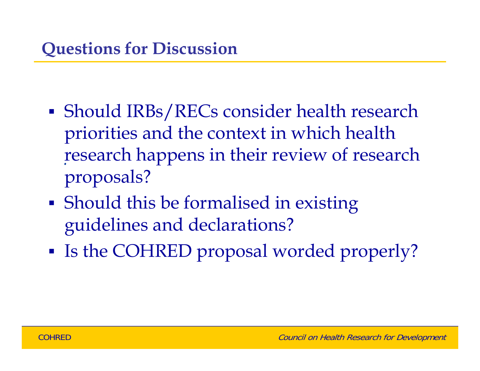- *.* research happens in their review of research **Service Service**  Should IRBs/RECs consider health research priorities and the context in which health proposals?
- Should this be formalised in existing guidelines and declarations?
- $\mathcal{L}(\mathcal{L})$ **IF Is the COHRED proposal worded properly?**